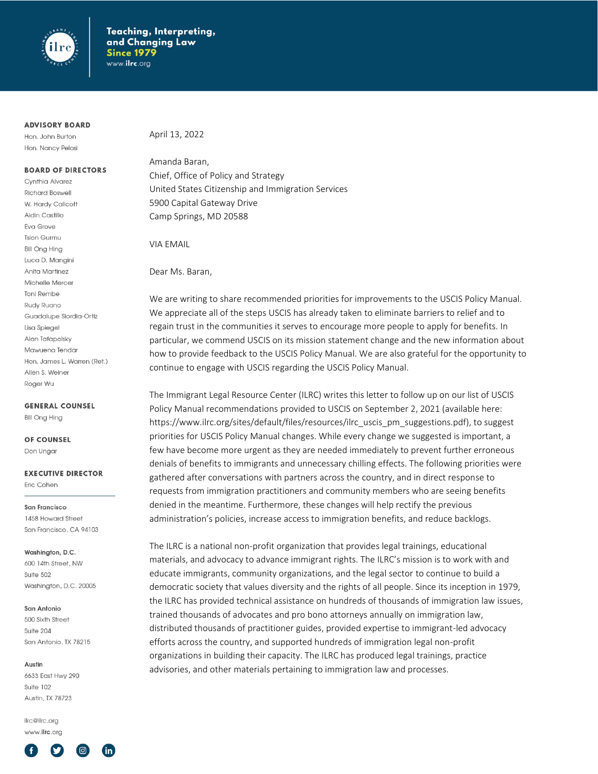

#### **ADVISORY BOARD**

Hon. John Burton Hon. Nancy Pelosi

#### **BOARD OF DIRECTORS**

Cynthia Alvarez **Richard Boswell** W. Hardy Callcott Aidin Castillo Eva Grove **Tsion Gurmu Bill Ong Hing** Luca D. Mangini Anita Martinez Michelle Mercer **Toni Rembe** Rudy Ruano Guadalupe Siordia-Ortiz Lisa Spiegel Alan Tafapolsky Mawuena Tendar Hon, James L. Warren (Ret.) Allen S. Weiner Roger Wu

#### **GENERAL COUNSEL**

**Bill Ong Hing** 

#### **OF COUNSEL** Don Ungar

#### **EXECUTIVE DIRECTOR** Eric Cohen

San Francisco

1458 Howard Street San Francisco, CA 94103

#### Washinaton, D.C.

600 14th Street, NW Suite 502 Washington, D.C. 20005

#### San Antonio

500 Sixth Street Suite 204 San Antonio, TX 78215

#### Austin

6633 East Hwy 290 Suite 102 Austin TX 78723

ilrc@ilrc.org www.ilrc.org



April 13, 2022

Amanda Baran, Chief, Office of Policy and Strategy United States Citizenship and Immigration Services 5900 Capital Gateway Drive Camp Springs, MD 20588

VIA EMAIL

Dear Ms. Baran,

We are writing to share recommended priorities for improvements to the USCIS Policy Manual. We appreciate all of the steps USCIS has already taken to eliminate barriers to relief and to regain trust in the communities it serves to encourage more people to apply for benefits. In particular, we commend USCIS on its mission statement change and the new information about how to provide feedback to the USCIS Policy Manual. We are also grateful for the opportunity to continue to engage with USCIS regarding the USCIS Policy Manual.

The Immigrant Legal Resource Center (ILRC) writes this letter to follow up on our list of USCIS Policy Manual recommendations provided to USCIS on September 2, 2021 (available here: https://www.ilrc.org/sites/default/files/resources/ilrc\_uscis\_pm\_suggestions.pdf), to suggest priorities for USCIS Policy Manual changes. While every change we suggested is important, a few have become more urgent as they are needed immediately to prevent further erroneous denials of benefits to immigrants and unnecessary chilling effects. The following priorities were gathered after conversations with partners across the country, and in direct response to requests from immigration practitioners and community members who are seeing benefits denied in the meantime. Furthermore, these changes will help rectify the previous administration's policies, increase access to immigration benefits, and reduce backlogs.

The ILRC is a national non-profit organization that provides legal trainings, educational materials, and advocacy to advance immigrant rights. The ILRC's mission is to work with and educate immigrants, community organizations, and the legal sector to continue to build a democratic society that values diversity and the rights of all people. Since its inception in 1979, the ILRC has provided technical assistance on hundreds of thousands of immigration law issues, trained thousands of advocates and pro bono attorneys annually on immigration law, distributed thousands of practitioner guides, provided expertise to immigrant-led advocacy efforts across the country, and supported hundreds of immigration legal non-profit organizations in building their capacity. The ILRC has produced legal trainings, practice advisories, and other materials pertaining to immigration law and processes.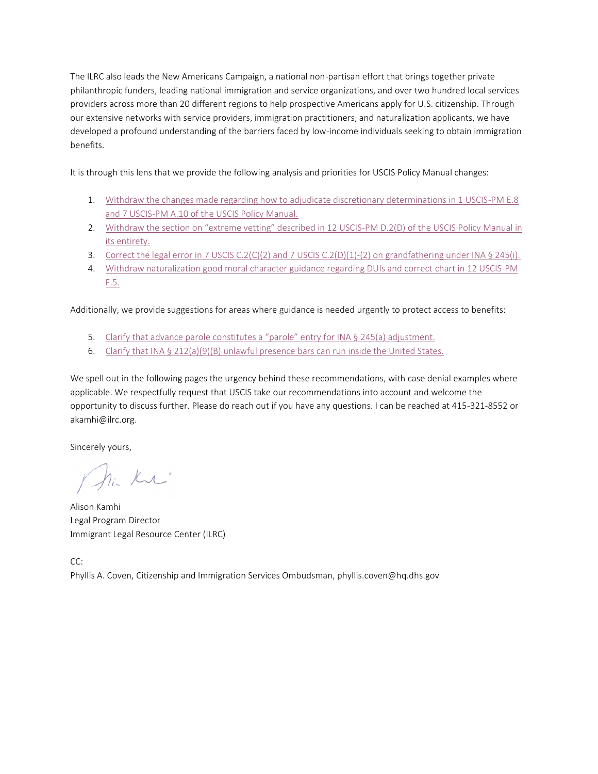The ILRC also leads the New Americans Campaign, a national non-partisan effort that brings together private philanthropic funders, leading national immigration and service organizations, and over two hundred local services providers across more than 20 different regions to help prospective Americans apply for U.S. citizenship. Through our extensive networks with service providers, immigration practitioners, and naturalization applicants, we have developed a profound understanding of the barriers faced by low-income individuals seeking to obtain immigration benefits.

It is through this lens that we provide the following analysis and priorities for USCIS Policy Manual changes:

- 1. [Withdraw the changes made regarding how to adjudicate discretionary determinations in 1 USCIS-PM E.8](#page-2-0) and 7 USCIS-PM A.10 [of the USCIS Policy Manual.](#page-2-0)
- 2. [Withdraw the section on "extreme vetting" described in 12 USCIS](#page-5-0)-PM D.2(D) of the USCIS Policy Manual in [its entirety.](#page-5-0)
- 3. [Correct the legal error in 7 USCIS C.2\(C\)\(2\) and 7 USCIS C.2\(D\)\(1\)-\(2\) on grandfathering under INA § 245\(i\).](#page-7-0)
- 4. Withdraw naturalization good moral character guidance regarding DUIs and correct chart in 12 USCIS-PM [F.5.](#page-12-0)

Additionally, we provide suggestions for areas where guidance is needed urgently to protect access to benefits:

- 5. C[larify that advance parole constitutes a "parole" entry for INA §](#page-15-0) 245(a) adjustment.
- 6. Clarify that INA  $\S 212(a)(9)(B)$  unlawful presence bars can run inside the United States.

We spell out in the following pages the urgency behind these recommendations, with case denial examples where applicable. We respectfully request that USCIS take our recommendations into account and welcome the opportunity to discuss further. Please do reach out if you have any questions. I can be reached at 415-321-8552 or akamhi@ilrc.org.

Sincerely yours,

1. Ku

Alison Kamhi Legal Program Director Immigrant Legal Resource Center (ILRC)

CC: Phyllis A. Coven, Citizenship and Immigration Services Ombudsman, phyllis.coven@hq.dhs.gov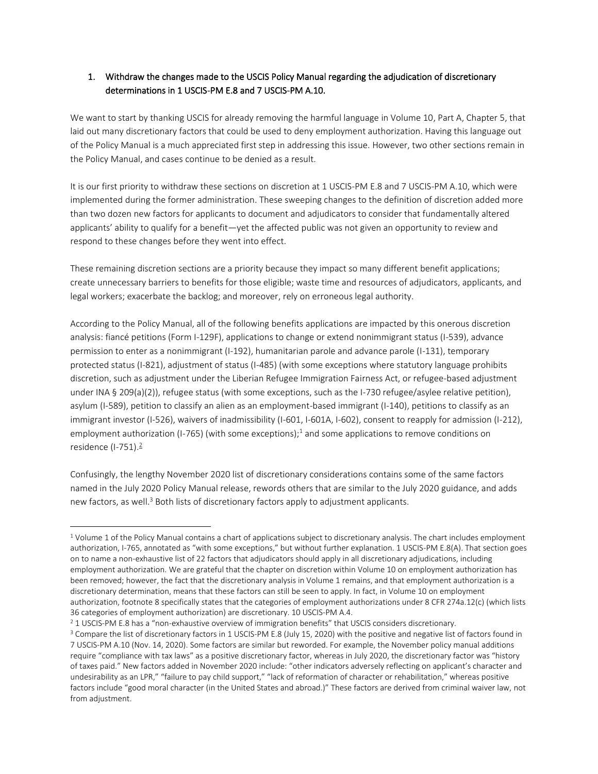# <span id="page-2-0"></span>1. Withdraw the changes made to the USCIS Policy Manual regarding the adjudication of discretionary determinations in 1 USCIS-PM E.8 and 7 USCIS-PM A.10.

We want to start by thanking USCIS for already removing the harmful language in Volume 10, Part A, Chapter 5, that laid out many discretionary factors that could be used to deny employment authorization. Having this language out of the Policy Manual is a much appreciated first step in addressing this issue. However, two other sections remain in the Policy Manual, and cases continue to be denied as a result.

It is our first priority to withdraw these sections on discretion at 1 USCIS-PM E.8 and 7 USCIS-PM A.10, which were implemented during the former administration. These sweeping changes to the definition of discretion added more than two dozen new factors for applicants to document and adjudicators to consider that fundamentally altered applicants' ability to qualify for a benefit—yet the affected public was not given an opportunity to review and respond to these changes before they went into effect.

These remaining discretion sections are a priority because they impact so many different benefit applications; create unnecessary barriers to benefits for those eligible; waste time and resources of adjudicators, applicants, and legal workers; exacerbate the backlog; and moreover, rely on erroneous legal authority.

According to the Policy Manual, all of the following benefits applications are impacted by this onerous discretion analysis: fiancé petitions (Form I-129F), applications to change or extend nonimmigrant status (I-539), advance permission to enter as a nonimmigrant (I-192), humanitarian parole and advance parole (I-131), temporary protected status (I-821), adjustment of status (I-485) (with some exceptions where statutory language prohibits discretion, such as adjustment under the Liberian Refugee Immigration Fairness Act, or refugee-based adjustment under INA § 209(a)(2)), refugee status (with some exceptions, such as the I-730 refugee/asylee relative petition), asylum (I-589), petition to classify an alien as an employment-based immigrant (I-140), petitions to classify as an immigrant investor (I-526), waivers of inadmissibility (I-601, I-601A, I-602), consent to reapply for admission (I-212), employment authorization (I-765) (with some exceptions);<sup>1</sup> and some applications to remove conditions on residence  $(I-751).2$ 

Confusingly, the lengthy November 2020 list of discretionary considerations contains some of the same factors named in the July 2020 Policy Manual release, rewords others that are similar to the July 2020 guidance, and adds new factors, as well.<sup>3</sup> Both lists of discretionary factors apply to adjustment applicants.

<sup>&</sup>lt;sup>1</sup> Volume 1 of the Policy Manual contains a chart of applications subject to discretionary analysis. The chart includes employment authorization, I-765, annotated as "with some exceptions," but without further explanation. 1 USCIS-PM E.8(A). That section goes on to name a non-exhaustive list of 22 factors that adjudicators should apply in all discretionary adjudications, including employment authorization. We are grateful that the chapter on discretion within Volume 10 on employment authorization has been removed; however, the fact that the discretionary analysis in Volume 1 remains, and that employment authorization is a discretionary determination, means that these factors can still be seen to apply. In fact, in Volume 10 on employment authorization, footnote 8 specifically states that the categories of employment authorizations under 8 CFR 274a.12(c) (which lists 36 categories of employment authorization) are discretionary. 10 USCIS-PM A.4.

<sup>&</sup>lt;sup>2</sup> 1 USCIS-PM E.8 has a "non-exhaustive overview of immigration benefits" that USCIS considers discretionary.

<sup>&</sup>lt;sup>3</sup> Compare the list of discretionary factors in 1 USCIS-PM E.8 (July 15, 2020) with the positive and negative list of factors found in 7 USCIS-PM A.10 (Nov. 14, 2020). Some factors are similar but reworded. For example, the November policy manual additions require "compliance with tax laws" as a positive discretionary factor, whereas in July 2020, the discretionary factor was "history of taxes paid." New factors added in November 2020 include: "other indicators adversely reflecting on applicant's character and undesirability as an LPR," "failure to pay child support," "lack of reformation of character or rehabilitation," whereas positive factors include "good moral character (in the United States and abroad.)" These factors are derived from criminal waiver law, not from adjustment.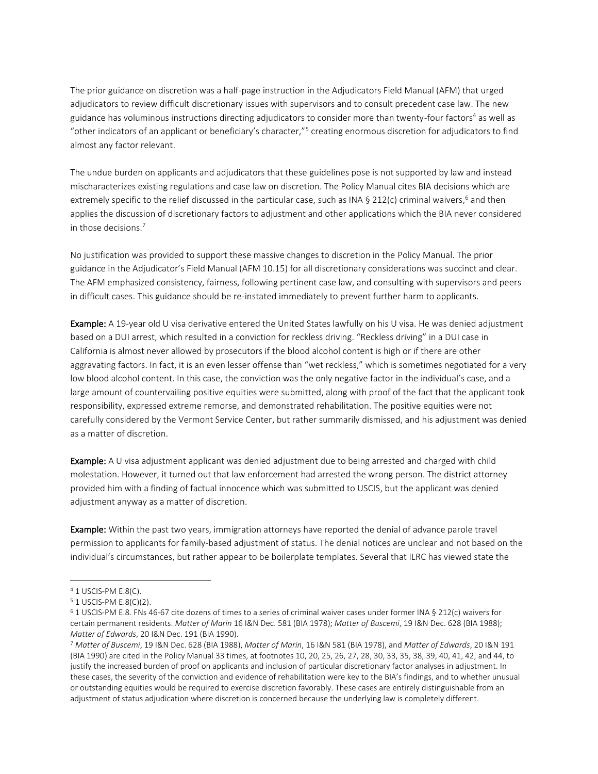The prior guidance on discretion was a half-page instruction in the Adjudicators Field Manual (AFM) that urged adjudicators to review difficult discretionary issues with supervisors and to consult precedent case law. The new guidance has voluminous instructions directing adjudicators to consider more than twenty-four factors<sup>4</sup> as well as "other indicators of an applicant or beneficiary's character,"<sup>5</sup> creating enormous discretion for adjudicators to find almost any factor relevant.

The undue burden on applicants and adjudicators that these guidelines pose is not supported by law and instead mischaracterizes existing regulations and case law on discretion. The Policy Manual cites BIA decisions which are extremely specific to the relief discussed in the particular case, such as INA § 212(c) criminal waivers,<sup>6</sup> and then applies the discussion of discretionary factors to adjustment and other applications which the BIA never considered in those decisions.<sup>7</sup>

No justification was provided to support these massive changes to discretion in the Policy Manual. The prior guidance in the Adjudicator's Field Manual (AFM 10.15) for all discretionary considerations was succinct and clear. The AFM emphasized consistency, fairness, following pertinent case law, and consulting with supervisors and peers in difficult cases. This guidance should be re-instated immediately to prevent further harm to applicants.

Example: A 19-year old U visa derivative entered the United States lawfully on his U visa. He was denied adjustment based on a DUI arrest, which resulted in a conviction for reckless driving. "Reckless driving" in a DUI case in California is almost never allowed by prosecutors if the blood alcohol content is high or if there are other aggravating factors. In fact, it is an even lesser offense than "wet reckless," which is sometimes negotiated for a very low blood alcohol content. In this case, the conviction was the only negative factor in the individual's case, and a large amount of countervailing positive equities were submitted, along with proof of the fact that the applicant took responsibility, expressed extreme remorse, and demonstrated rehabilitation. The positive equities were not carefully considered by the Vermont Service Center, but rather summarily dismissed, and his adjustment was denied as a matter of discretion.

Example: A U visa adjustment applicant was denied adjustment due to being arrested and charged with child molestation. However, it turned out that law enforcement had arrested the wrong person. The district attorney provided him with a finding of factual innocence which was submitted to USCIS, but the applicant was denied adjustment anyway as a matter of discretion.

Example: Within the past two years, immigration attorneys have reported the denial of advance parole travel permission to applicants for family-based adjustment of status. The denial notices are unclear and not based on the individual's circumstances, but rather appear to be boilerplate templates. Several that ILRC has viewed state the

<sup>4</sup> 1 USCIS-PM E.8(C).

<sup>5</sup> 1 USCIS-PM E.8(C)(2).

<sup>6</sup> 1 USCIS-PM E.8. FNs 46-67 cite dozens of times to a series of criminal waiver cases under former INA § 212(c) waivers for certain permanent residents. *Matter of Marin* 16 I&N Dec. 581 (BIA 1978); *Matter of Buscemi*, 19 I&N Dec. 628 (BIA 1988); *Matter of Edwards*, 20 I&N Dec. 191 (BIA 1990).

<sup>7</sup> *Matter of Buscemi*, 19 I&N Dec. 628 (BIA 1988), *Matter of Marin*, 16 I&N 581 (BIA 1978), and *Matter of Edwards*, 20 I&N 191 (BIA 1990) are cited in the Policy Manual 33 times, at footnotes 10, 20, 25, 26, 27, 28, 30, 33, 35, 38, 39, 40, 41, 42, and 44, to justify the increased burden of proof on applicants and inclusion of particular discretionary factor analyses in adjustment. In these cases, the severity of the conviction and evidence of rehabilitation were key to the BIA's findings, and to whether unusual or outstanding equities would be required to exercise discretion favorably. These cases are entirely distinguishable from an adjustment of status adjudication where discretion is concerned because the underlying law is completely different.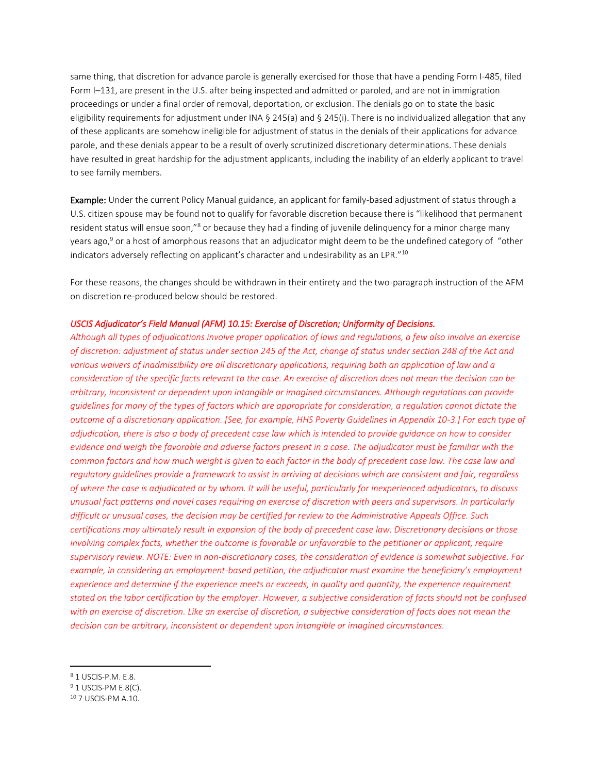same thing, that discretion for advance parole is generally exercised for those that have a pending Form I-485, filed Form I–131, are present in the U.S. after being inspected and admitted or paroled, and are not in immigration proceedings or under a final order of removal, deportation, or exclusion. The denials go on to state the basic eligibility requirements for adjustment under INA § 245(a) and § 245(i). There is no individualized allegation that any of these applicants are somehow ineligible for adjustment of status in the denials of their applications for advance parole, and these denials appear to be a result of overly scrutinized discretionary determinations. These denials have resulted in great hardship for the adjustment applicants, including the inability of an elderly applicant to travel to see family members.

Example: Under the current Policy Manual guidance, an applicant for family-based adjustment of status through a U.S. citizen spouse may be found not to qualify for favorable discretion because there is "likelihood that permanent resident status will ensue soon,"<sup>8</sup> or because they had a finding of juvenile delinquency for a minor charge many years ago,<sup>9</sup> or a host of amorphous reasons that an adjudicator might deem to be the undefined category of "other indicators adversely reflecting on applicant's character and undesirability as an LPR."<sup>10</sup>

For these reasons, the changes should be withdrawn in their entirety and the two-paragraph instruction of the AFM on discretion re-produced below should be restored.

### *USCIS Adjudicator's Field Manual (AFM) 10.15: Exercise of Discretion; Uniformity of Decisions.*

*Although all types of adjudications involve proper application of laws and regulations, a few also involve an exercise of discretion: adjustment of status under section 245 of the Act, change of status under section 248 of the Act and various waivers of inadmissibility are all discretionary applications, requiring both an application of law and a consideration of the specific facts relevant to the case. An exercise of discretion does not mean the decision can be arbitrary, inconsistent or dependent upon intangible or imagined circumstances. Although regulations can provide guidelines for many of the types of factors which are appropriate for consideration, a regulation cannot dictate the outcome of a discretionary application. [See, for example, HHS Poverty Guidelines in Appendix 10-3.] For each type of adjudication, there is also a body of precedent case law which is intended to provide guidance on how to consider evidence and weigh the favorable and adverse factors present in a case. The adjudicator must be familiar with the common factors and how much weight is given to each factor in the body of precedent case law. The case law and regulatory guidelines provide a framework to assist in arriving at decisions which are consistent and fair, regardless of where the case is adjudicated or by whom. It will be useful, particularly for inexperienced adjudicators, to discuss unusual fact patterns and novel cases requiring an exercise of discretion with peers and supervisors. In particularly difficult or unusual cases, the decision may be certified for review to the Administrative Appeals Office. Such certifications may ultimately result in expansion of the body of precedent case law. Discretionary decisions or those involving complex facts, whether the outcome is favorable or unfavorable to the petitioner or applicant, require supervisory review. NOTE: Even in non-discretionary cases, the consideration of evidence is somewhat subjective. For example, in considering an employment-based petition, the adjudicator must examine the beneficiary's employment experience and determine if the experience meets or exceeds, in quality and quantity, the experience requirement stated on the labor certification by the employer. However, a subjective consideration of facts should not be confused with an exercise of discretion. Like an exercise of discretion, a subjective consideration of facts does not mean the decision can be arbitrary, inconsistent or dependent upon intangible or imagined circumstances.*

<sup>8</sup> 1 USCIS-P.M. E.8.

<sup>&</sup>lt;sup>9</sup> 1 USCIS-PM E.8(C).

<sup>10</sup> 7 USCIS-PM A.10.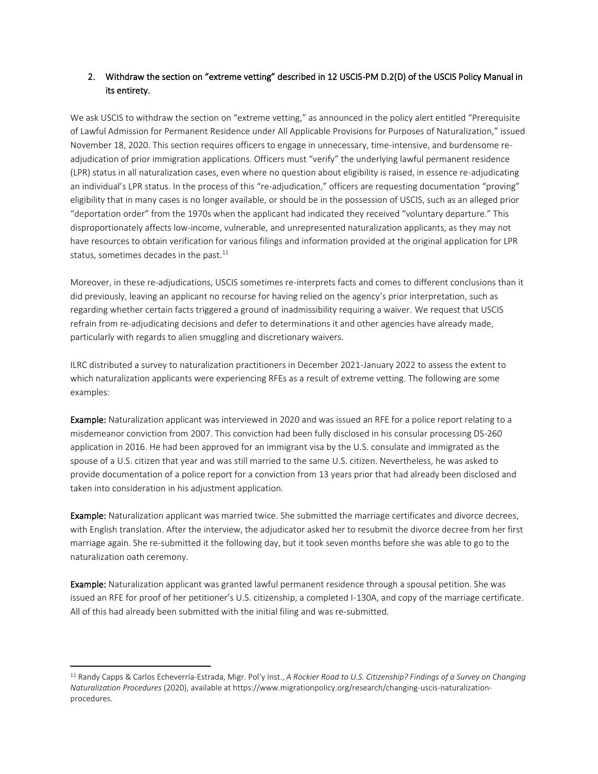# <span id="page-5-0"></span>2. Withdraw the section on "extreme vetting" described in 12 USCIS-PM D.2(D) of the USCIS Policy Manual in its entirety.

We ask USCIS to withdraw the section on "extreme vetting," as announced in the policy alert entitled "Prerequisite of Lawful Admission for Permanent Residence under All Applicable Provisions for Purposes of Naturalization," issued November 18, 2020. This section requires officers to engage in unnecessary, time-intensive, and burdensome readjudication of prior immigration applications. Officers must "verify" the underlying lawful permanent residence (LPR) status in all naturalization cases, even where no question about eligibility is raised, in essence re-adjudicating an individual's LPR status. In the process of this "re-adjudication," officers are requesting documentation "proving" eligibility that in many cases is no longer available, or should be in the possession of USCIS, such as an alleged prior "deportation order" from the 1970s when the applicant had indicated they received "voluntary departure." This disproportionately affects low-income, vulnerable, and unrepresented naturalization applicants, as they may not have resources to obtain verification for various filings and information provided at the original application for LPR status, sometimes decades in the past. $^{11}$ 

Moreover, in these re-adjudications, USCIS sometimes re-interprets facts and comes to different conclusions than it did previously, leaving an applicant no recourse for having relied on the agency's prior interpretation, such as regarding whether certain facts triggered a ground of inadmissibility requiring a waiver. We request that USCIS refrain from re-adjudicating decisions and defer to determinations it and other agencies have already made, particularly with regards to alien smuggling and discretionary waivers.

ILRC distributed a survey to naturalization practitioners in December 2021-January 2022 to assess the extent to which naturalization applicants were experiencing RFEs as a result of extreme vetting. The following are some examples:

Example: Naturalization applicant was interviewed in 2020 and was issued an RFE for a police report relating to a misdemeanor conviction from 2007. This conviction had been fully disclosed in his consular processing DS-260 application in 2016. He had been approved for an immigrant visa by the U.S. consulate and immigrated as the spouse of a U.S. citizen that year and was still married to the same U.S. citizen. Nevertheless, he was asked to provide documentation of a police report for a conviction from 13 years prior that had already been disclosed and taken into consideration in his adjustment application.

Example: Naturalization applicant was married twice. She submitted the marriage certificates and divorce decrees, with English translation. After the interview, the adjudicator asked her to resubmit the divorce decree from her first marriage again. She re-submitted it the following day, but it took seven months before she was able to go to the naturalization oath ceremony.

Example: Naturalization applicant was granted lawful permanent residence through a spousal petition. She was issued an RFE for proof of her petitioner's U.S. citizenship, a completed I-130A, and copy of the marriage certificate. All of this had already been submitted with the initial filing and was re-submitted.

<sup>11</sup> Randy Capps & Carlos Echeverría-Estrada, Migr. Pol'y Inst., *A Rockier Road to U.S. Citizenship? Findings of a Survey on Changing Naturalization Procedures* (2020), available at https://www.migrationpolicy.org/research/changing-uscis-naturalizationprocedures.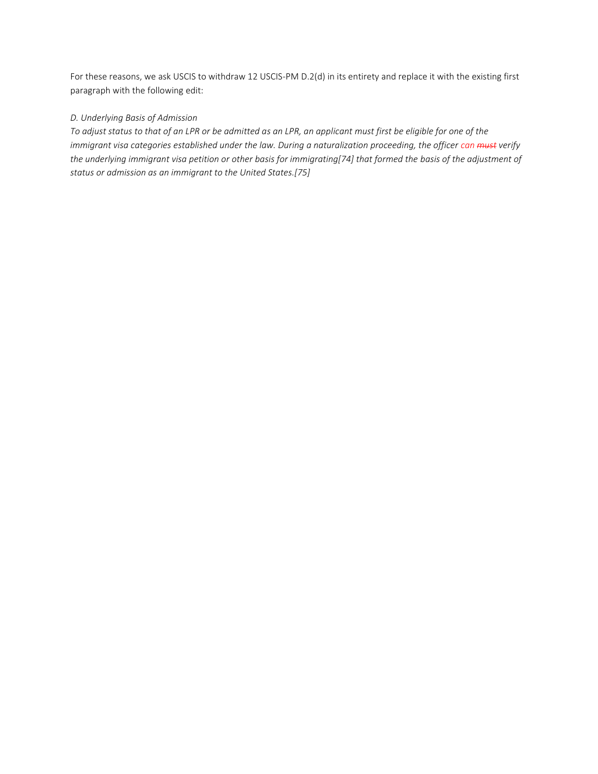For these reasons, we ask USCIS to withdraw 12 USCIS-PM D.2(d) in its entirety and replace it with the existing first paragraph with the following edit:

# *D. Underlying Basis of Admission*

*To adjust status to that of an LPR or be admitted as an LPR, an applicant must first be eligible for one of the immigrant visa categories established under the law. During a naturalization proceeding, the officer can must verify the underlying immigrant visa petition or other basis for immigrating[74] that formed the basis of the adjustment of status or admission as an immigrant to the United States.[75]*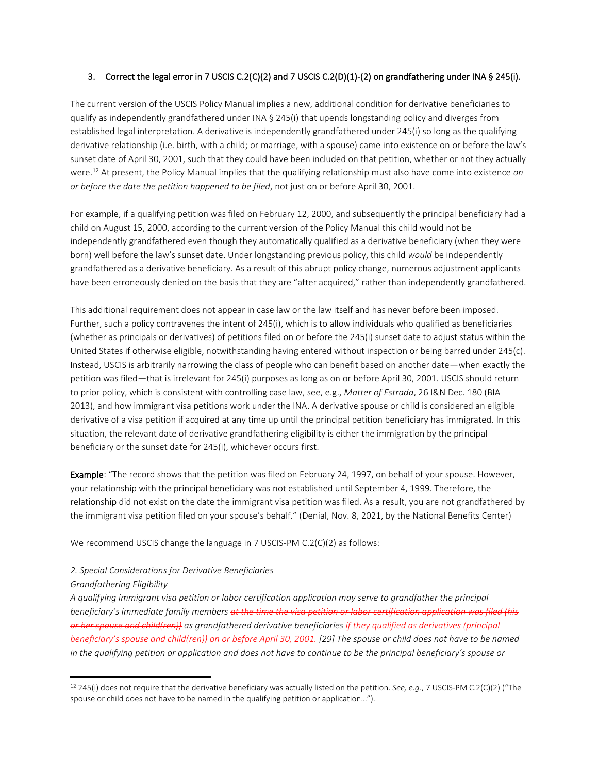## <span id="page-7-0"></span>3. Correct the legal error in 7 USCIS C.2(C)(2) and 7 USCIS C.2(D)(1)-(2) on grandfathering under INA § 245(i).

The current version of the USCIS Policy Manual implies a new, additional condition for derivative beneficiaries to qualify as independently grandfathered under INA § 245(i) that upends longstanding policy and diverges from established legal interpretation. A derivative is independently grandfathered under 245(i) so long as the qualifying derivative relationship (i.e. birth, with a child; or marriage, with a spouse) came into existence on or before the law's sunset date of April 30, 2001, such that they could have been included on that petition, whether or not they actually were.<sup>12</sup> At present, the Policy Manual implies that the qualifying relationship must also have come into existence *on or before the date the petition happened to be filed*, not just on or before April 30, 2001.

For example, if a qualifying petition was filed on February 12, 2000, and subsequently the principal beneficiary had a child on August 15, 2000, according to the current version of the Policy Manual this child would not be independently grandfathered even though they automatically qualified as a derivative beneficiary (when they were born) well before the law's sunset date. Under longstanding previous policy, this child *would* be independently grandfathered as a derivative beneficiary. As a result of this abrupt policy change, numerous adjustment applicants have been erroneously denied on the basis that they are "after acquired," rather than independently grandfathered.

This additional requirement does not appear in case law or the law itself and has never before been imposed. Further, such a policy contravenes the intent of 245(i), which is to allow individuals who qualified as beneficiaries (whether as principals or derivatives) of petitions filed on or before the 245(i) sunset date to adjust status within the United States if otherwise eligible, notwithstanding having entered without inspection or being barred under 245(c). Instead, USCIS is arbitrarily narrowing the class of people who can benefit based on another date—when exactly the petition was filed—that is irrelevant for 245(i) purposes as long as on or before April 30, 2001. USCIS should return to prior policy, which is consistent with controlling case law, see, e.g., *Matter of Estrada*, 26 I&N Dec. 180 (BIA 2013), and how immigrant visa petitions work under the INA. A derivative spouse or child is considered an eligible derivative of a visa petition if acquired at any time up until the principal petition beneficiary has immigrated. In this situation, the relevant date of derivative grandfathering eligibility is either the immigration by the principal beneficiary or the sunset date for 245(i), whichever occurs first.

Example: "The record shows that the petition was filed on February 24, 1997, on behalf of your spouse. However, your relationship with the principal beneficiary was not established until September 4, 1999. Therefore, the relationship did not exist on the date the immigrant visa petition was filed. As a result, you are not grandfathered by the immigrant visa petition filed on your spouse's behalf." (Denial, Nov. 8, 2021, by the National Benefits Center)

We recommend USCIS change the language in 7 USCIS-PM C.2(C)(2) as follows:

## *2. Special Considerations for Derivative Beneficiaries*

*Grandfathering Eligibility* 

*A qualifying immigrant visa petition or labor certification application may serve to grandfather the principal beneficiary's immediate family members at the time the visa petition or labor certification application was filed (his or her spouse and child(ren)) as grandfathered derivative beneficiaries if they qualified as derivatives (principal beneficiary's spouse and child(ren)) on or before April 30, 2001. [29] The spouse or child does not have to be named*  in the qualifying petition or application and does not have to continue to be the principal beneficiary's spouse or

<sup>12</sup> 245(i) does not require that the derivative beneficiary was actually listed on the petition. *See, e.g.*, 7 USCIS-PM C.2(C)(2) ("The spouse or child does not have to be named in the qualifying petition or application…").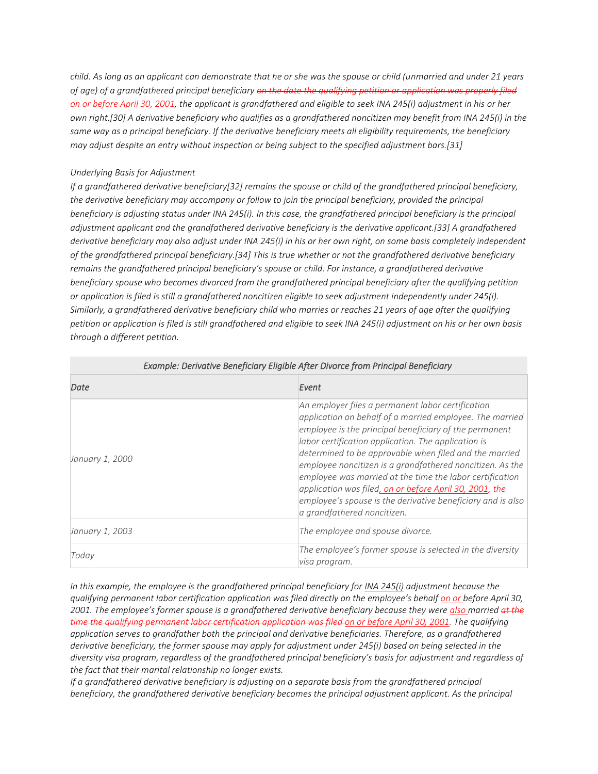*child. As long as an applicant can demonstrate that he or she was the spouse or child (unmarried and under 21 years of age) of a grandfathered principal beneficiary on the date the qualifying petition or application was properly filed on or before April 30, 2001, the applicant is grandfathered and eligible to seek INA 245(i) adjustment in his or her own right.[30] A derivative beneficiary who qualifies as a grandfathered noncitizen may benefit from INA 245(i) in the same way as a principal beneficiary. If the derivative beneficiary meets all eligibility requirements, the beneficiary may adjust despite an entry without inspection or being subject to the specified adjustment bars.[31]* 

## *Underlying Basis for Adjustment*

*If a grandfathered derivative beneficiary[32] remains the spouse or child of the grandfathered principal beneficiary, the derivative beneficiary may accompany or follow to join the principal beneficiary, provided the principal beneficiary is adjusting status under INA 245(i). In this case, the grandfathered principal beneficiary is the principal adjustment applicant and the grandfathered derivative beneficiary is the derivative applicant.[33] A grandfathered derivative beneficiary may also adjust under INA 245(i) in his or her own right, on some basis completely independent of the grandfathered principal beneficiary.[34] This is true whether or not the grandfathered derivative beneficiary remains the grandfathered principal beneficiary's spouse or child. For instance, a grandfathered derivative beneficiary spouse who becomes divorced from the grandfathered principal beneficiary after the qualifying petition or application is filed is still a grandfathered noncitizen eligible to seek adjustment independently under 245(i). Similarly, a grandfathered derivative beneficiary child who marries or reaches 21 years of age after the qualifying petition or application is filed is still grandfathered and eligible to seek INA 245(i) adjustment on his or her own basis through a different petition.*

| Date                   | Event                                                                                                                                                                                                                                                                                                                                                                                                                                                                                                                                                                      |  |  |
|------------------------|----------------------------------------------------------------------------------------------------------------------------------------------------------------------------------------------------------------------------------------------------------------------------------------------------------------------------------------------------------------------------------------------------------------------------------------------------------------------------------------------------------------------------------------------------------------------------|--|--|
| January 1, 2000        | An employer files a permanent labor certification<br>application on behalf of a married employee. The married<br>employee is the principal beneficiary of the permanent<br>labor certification application. The application is<br>determined to be approvable when filed and the married<br>employee noncitizen is a grandfathered noncitizen. As the<br>employee was married at the time the labor certification<br>application was filed, on or before April 30, 2001, the<br>employee's spouse is the derivative beneficiary and is also<br>a grandfathered noncitizen. |  |  |
| <i>January 1, 2003</i> | The employee and spouse divorce.                                                                                                                                                                                                                                                                                                                                                                                                                                                                                                                                           |  |  |
| Today                  | The employee's former spouse is selected in the diversity<br>visa program.                                                                                                                                                                                                                                                                                                                                                                                                                                                                                                 |  |  |

### *Example: Derivative Beneficiary Eligible After Divorce from Principal Beneficiary*

*In this example, the employee is the grandfathered principal beneficiary for [INA 245\(i\)](https://uscode.house.gov/view.xhtml?req=granuleid:USC-prelim-title8-section1255&num=0&edition=prelim) adjustment because the qualifying permanent labor certification application was filed directly on the employee's behalf on or before April 30, 2001. The employee's former spouse is a grandfathered derivative beneficiary because they were also married at the time the qualifying permanent labor certification application was filed on or before April 30, 2001. The qualifying application serves to grandfather both the principal and derivative beneficiaries. Therefore, as a grandfathered derivative beneficiary, the former spouse may apply for adjustment under 245(i) based on being selected in the diversity visa program, regardless of the grandfathered principal beneficiary's basis for adjustment and regardless of the fact that their marital relationship no longer exists.*

*If a grandfathered derivative beneficiary is adjusting on a separate basis from the grandfathered principal beneficiary, the grandfathered derivative beneficiary becomes the principal adjustment applicant. As the principal*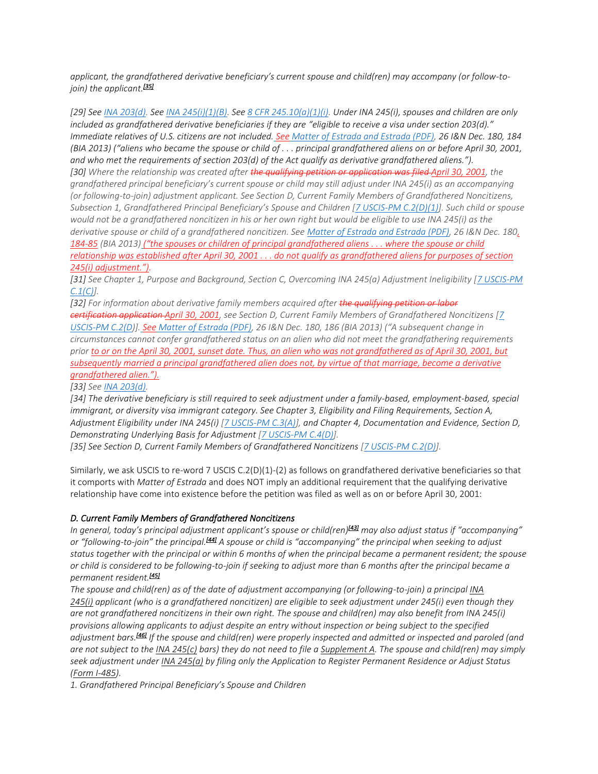*applicant, the grandfathered derivative beneficiary's current spouse and child(ren) may accompany (or follow-tojoin) the applicant.[\[35\]](https://www.uscis.gov/policy-manual/volume-7-part-c-chapter-2#footnote-35)*

*[29] See [INA 203\(d\).](https://uscode.house.gov/view.xhtml?req=granuleid:USC-prelim-title8-section1153&num=0&edition=prelim) See [INA 245\(i\)\(1\)\(B\).](https://uscode.house.gov/view.xhtml?req=granuleid:USC-prelim-title8-section1255&num=0&edition=prelim) See [8 CFR 245.10\(a\)\(1\)\(i\).](https://www.ecfr.gov/cgi-bin/text-idx?node=se8.1.245_110) Under INA 245(i), spouses and children are only included as grandfathered derivative beneficiaries if they are "eligible to receive a visa under section 203(d)." Immediate relatives of U.S. citizens are not included. See [Matter of Estrada and Estrada \(PDF\),](https://www.justice.gov/sites/default/files/eoir/legacy/2014/07/25/3790.pdf) 26 I&N Dec. 180, 184 (BIA 2013) ("aliens who became the spouse or child of . . . principal grandfathered aliens on or before April 30, 2001, and who met the requirements of section 203(d) of the Act qualify as derivative grandfathered aliens."). [30] Where the relationship was created after the qualifying petition or application was filed April 30, 2001, the grandfathered principal beneficiary's current spouse or child may still adjust under INA 245(i) as an accompanying (or following-to-join) adjustment applicant. See Section D, Current Family Members of Grandfathered Noncitizens, Subsection 1, Grandfathered Principal Beneficiary's Spouse and Children [[7 USCIS-PM C.2\(D\)\(1\)\]](https://www.uscis.gov/policy-manual/volume-7-part-c-chapter-2#S-D-1). Such child or spouse would not be a grandfathered noncitizen in his or her own right but would be eligible to use INA 245(i) as the derivative spouse or child of a grandfathered noncitizen. See [Matter of Estrada and Estrada \(PDF\),](https://www.justice.gov/sites/default/files/eoir/legacy/2014/07/25/3790.pdf) 26 I&N Dec. 180, 184-85 (BIA 2013) ("the spouses or children of principal grandfathered aliens . . . where the spouse or child relationship was established after April 30, 2001 . . . do not qualify as grandfathered aliens for purposes of section 245(i) adjustment.").*

*[31] See Chapter 1, Purpose and Background, Section C, Overcoming INA 245(a) Adjustment Ineligibility [\[7 USCIS-PM](https://www.uscis.gov/policy-manual/volume-7-part-c-chapter-1#S-C)  [C.1\(C\)\]](https://www.uscis.gov/policy-manual/volume-7-part-c-chapter-1#S-C).*

*[32] For information about derivative family members acquired after the qualifying petition or labor certification application April 30, 2001, see Section D, Current Family Members of Grandfathered Noncitizens [\[7](https://www.uscis.gov/policy-manual/volume-7-part-c-chapter-2#S-D)  [USCIS-PM C.2\(D\)](https://www.uscis.gov/policy-manual/volume-7-part-c-chapter-2#S-D)]. See [Matter of Estrada \(PDF\)](https://www.justice.gov/sites/default/files/eoir/legacy/2014/07/25/3790.pdf), 26 I&N Dec. 180, 186 (BIA 2013) ("A subsequent change in circumstances cannot confer grandfathered status on an alien who did not meet the grandfathering requirements prior to or on the April 30, 2001, sunset date. Thus, an alien who was not grandfathered as of April 30, 2001, but subsequently married a principal grandfathered alien does not, by virtue of that marriage, become a derivative grandfathered alien.").*

*[33] See [INA 203\(d\).](https://uscode.house.gov/view.xhtml?req=granuleid:USC-prelim-title8-section1153&num=0&edition=prelim)*

*[34] The derivative beneficiary is still required to seek adjustment under a family-based, employment-based, special immigrant, or diversity visa immigrant category. See Chapter 3, Eligibility and Filing Requirements, Section A, Adjustment Eligibility under INA 245(i) [\[7 USCIS-PM C.3\(A\)\]](https://www.uscis.gov/policy-manual/volume-7-part-c-chapter-3#S-A), and Chapter 4, Documentation and Evidence, Section D, Demonstrating Underlying Basis for Adjustment [\[7 USCIS-PM C.4\(D\)\]](https://www.uscis.gov/policy-manual/volume-7-part-c-chapter-4#S-D).*

*[35] See Section D, Current Family Members of Grandfathered Noncitizens [\[7 USCIS-PM C.2\(D\)\]](https://www.uscis.gov/policy-manual/volume-7-part-c-chapter-2#S-D).*

Similarly, we ask USCIS to re-word 7 USCIS C.2(D)(1)-(2) as follows on grandfathered derivative beneficiaries so that it comports with *Matter of Estrada* and does NOT imply an additional requirement that the qualifying derivative relationship have come into existence before the petition was filed as well as on or before April 30, 2001:

# *D. Current Family Members of Grandfathered Noncitizens*

*In general, today's principal adjustment applicant's spouse or child(ren)[\[43\]](https://www.uscis.gov/policy-manual/volume-7-part-c-chapter-2#footnote-43) may also adjust status if "accompanying" or "following-to-join" the principal.[\[44\]](https://www.uscis.gov/policy-manual/volume-7-part-c-chapter-2#footnote-44) A spouse or child is "accompanying" the principal when seeking to adjust status together with the principal or within 6 months of when the principal became a permanent resident; the spouse or child is considered to be following-to-join if seeking to adjust more than 6 months after the principal became a permanent resident.[\[45\]](https://www.uscis.gov/policy-manual/volume-7-part-c-chapter-2#footnote-45)*

*The spouse and child(ren) as of the date of adjustment accompanying (or following-to-join) a principal [INA](https://uscode.house.gov/view.xhtml?req=granuleid:USC-prelim-title8-section1255&num=0&edition=prelim)  [245\(i\)](https://uscode.house.gov/view.xhtml?req=granuleid:USC-prelim-title8-section1255&num=0&edition=prelim) applicant (who is a grandfathered noncitizen) are eligible to seek adjustment under 245(i) even though they are not grandfathered noncitizens in their own right. The spouse and child(ren) may also benefit from INA 245(i) provisions allowing applicants to adjust despite an entry without inspection or being subject to the specified adjustment bars.[\[46\]](https://www.uscis.gov/policy-manual/volume-7-part-c-chapter-2#footnote-46) If the spouse and child(ren) were properly inspected and admitted or inspected and paroled (and are not subject to the [INA 245\(c\)](https://uscode.house.gov/view.xhtml?req=granuleid:USC-prelim-title8-section1255&num=0&edition=prelim) bars) they do not need to file a [Supplement A.](https://www.uscis.gov/i-485supa) The spouse and child(ren) may simply seek adjustment under [INA 245\(a\)](https://uscode.house.gov/view.xhtml?req=granuleid:USC-prelim-title8-section1255&num=0&edition=prelim) by filing only the Application to Register Permanent Residence or Adjust Status [\(Form I-485\)](https://www.uscis.gov/i-485).*

*1. Grandfathered Principal Beneficiary's Spouse and Children*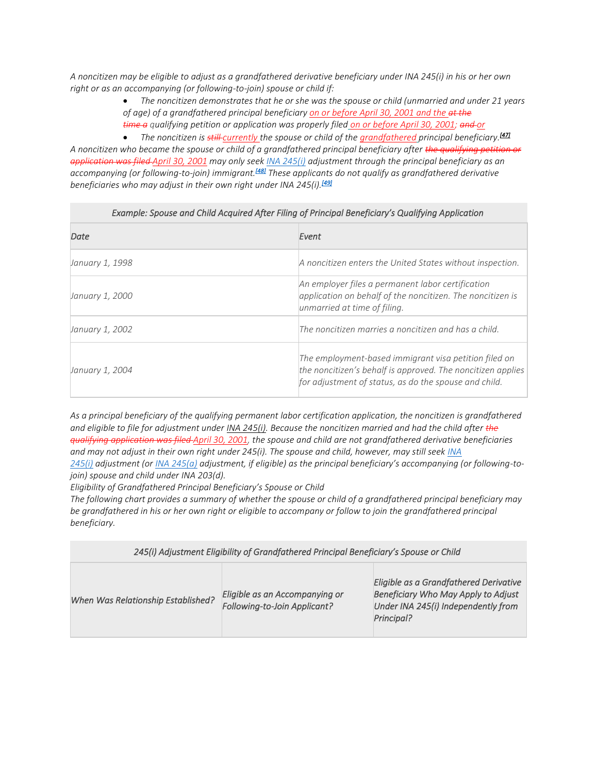*A noncitizen may be eligible to adjust as a grandfathered derivative beneficiary under INA 245(i) in his or her own right or as an accompanying (or following-to-join) spouse or child if:*

> • *The noncitizen demonstrates that he or she was the spouse or child (unmarried and under 21 years of age) of a grandfathered principal beneficiary on or before April 30, 2001 and the at the time a qualifying petition or application was properly filed on or before April 30, 2001; and or*

• *The noncitizen is still currently the spouse or child of the grandfathered principal beneficiary.[\[47\]](https://www.uscis.gov/policy-manual/volume-7-part-c-chapter-2#footnote-47) A noncitizen who became the spouse or child of a grandfathered principal beneficiary after the qualifying petition or application was filed April 30, 2001 may only seek [INA 245\(i\)](https://uscode.house.gov/view.xhtml?req=granuleid:USC-prelim-title8-section1255&num=0&edition=prelim) adjustment through the principal beneficiary as an accompanying (or following-to-join) immigrant.[\[48\]](https://www.uscis.gov/policy-manual/volume-7-part-c-chapter-2#footnote-48) These applicants do not qualify as grandfathered derivative beneficiaries who may adjust in their own right under INA 245(i).[\[49\]](https://www.uscis.gov/policy-manual/volume-7-part-c-chapter-2#footnote-49)*

# *Example: Spouse and Child Acquired After Filing of Principal Beneficiary's Qualifying Application*

| Date                   | Event                                                                                                                                                                         |
|------------------------|-------------------------------------------------------------------------------------------------------------------------------------------------------------------------------|
| January 1, 1998        | A noncitizen enters the United States without inspection.                                                                                                                     |
| <i>January 1, 2000</i> | An employer files a permanent labor certification<br>application on behalf of the noncitizen. The noncitizen is<br>unmarried at time of filing.                               |
| January 1, 2002        | The noncitizen marries a noncitizen and has a child.                                                                                                                          |
| January 1, 2004        | The employment-based immigrant visa petition filed on<br>the noncitizen's behalf is approved. The noncitizen applies<br>for adjustment of status, as do the spouse and child. |

*As a principal beneficiary of the qualifying permanent labor certification application, the noncitizen is grandfathered and eligible to file for adjustment under [INA 245\(i\).](https://uscode.house.gov/view.xhtml?req=granuleid:USC-prelim-title8-section1255&num=0&edition=prelim) Because the noncitizen married and had the child after the qualifying application was filed April 30, 2001, the spouse and child are not grandfathered derivative beneficiaries and may not adjust in their own right under 245(i). The spouse and child, however, may still seek [INA](https://uscode.house.gov/view.xhtml?req=granuleid:USC-prelim-title8-section1255&num=0&edition=prelim)  [245\(i\)](https://uscode.house.gov/view.xhtml?req=granuleid:USC-prelim-title8-section1255&num=0&edition=prelim) adjustment (or [INA 245\(a\)](https://uscode.house.gov/view.xhtml?req=granuleid:USC-prelim-title8-section1255&num=0&edition=prelim) adjustment, if eligible) as the principal beneficiary's accompanying (or following-tojoin) spouse and child under INA 203(d).*

*Eligibility of Grandfathered Principal Beneficiary's Spouse or Child*

*The following chart provides a summary of whether the spouse or child of a grandfathered principal beneficiary may be grandfathered in his or her own right or eligible to accompany or follow to join the grandfathered principal beneficiary.*

| 245(i) Adjustment Eligibility of Grandfathered Principal Beneficiary's Spouse or Child |                                                                |                                                                                                                                    |  |
|----------------------------------------------------------------------------------------|----------------------------------------------------------------|------------------------------------------------------------------------------------------------------------------------------------|--|
| When Was Relationship Established?                                                     | Eligible as an Accompanying or<br>Following-to-Join Applicant? | Eligible as a Grandfathered Derivative<br>Beneficiary Who May Apply to Adjust<br>Under INA 245(i) Independently from<br>Principal? |  |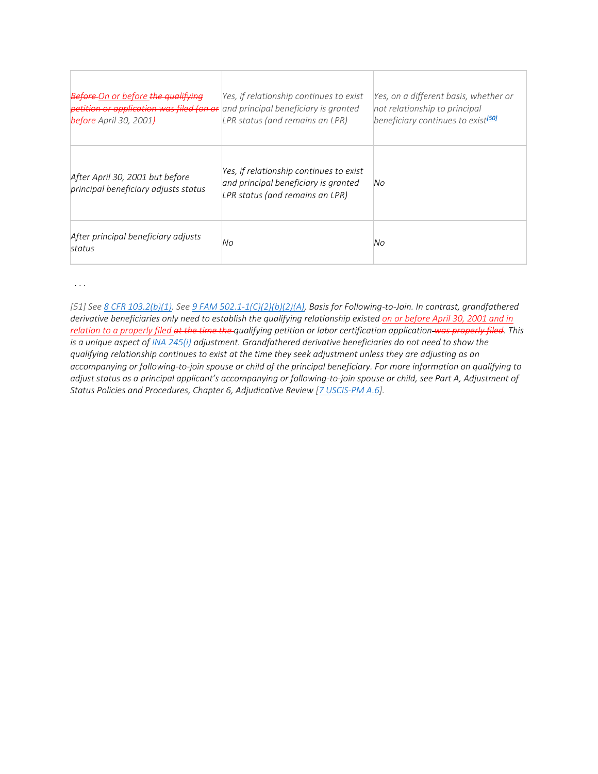| <b>Before</b> On or before the qualifying<br>petition or application was filed (on or and principal beneficiary is granted<br>before April 30, 2001) | Yes, if relationship continues to exist<br>LPR status (and remains an LPR)                                         | Yes, on a different basis, whether or<br>not relationship to principal<br>beneficiary continues to exist <sup>[50]</sup> |
|------------------------------------------------------------------------------------------------------------------------------------------------------|--------------------------------------------------------------------------------------------------------------------|--------------------------------------------------------------------------------------------------------------------------|
| After April 30, 2001 but before<br>principal beneficiary adjusts status                                                                              | Yes, if relationship continues to exist<br>and principal beneficiary is granted<br>LPR status (and remains an LPR) | No                                                                                                                       |
| After principal beneficiary adjusts<br>status                                                                                                        | No                                                                                                                 | No                                                                                                                       |

 *. . .*

*[51] See [8 CFR 103.2\(b\)\(1\).](https://www.ecfr.gov/cgi-bin/text-idx?node=se8.1.103_12) See [9 FAM 502.1-1\(C\)\(2\)\(b\)\(2\)\(A\),](https://fam.state.gov/FAM/09FAM/09FAM050201.html) Basis for Following-to-Join. In contrast, grandfathered derivative beneficiaries only need to establish the qualifying relationship existed on or before April 30, 2001 and in relation to a properly filed at the time the qualifying petition or labor certification application was properly filed. This is a unique aspect of [INA 245\(i\)](https://uscode.house.gov/view.xhtml?req=granuleid:USC-prelim-title8-section1255&num=0&edition=prelim) adjustment. Grandfathered derivative beneficiaries do not need to show the qualifying relationship continues to exist at the time they seek adjustment unless they are adjusting as an accompanying or following-to-join spouse or child of the principal beneficiary. For more information on qualifying to adjust status as a principal applicant's accompanying or following-to-join spouse or child, see Part A, Adjustment of Status Policies and Procedures, Chapter 6, Adjudicative Review [\[7 USCIS-PM A.6\]](https://www.uscis.gov/policy-manual/volume-7-part-a-chapter-6).*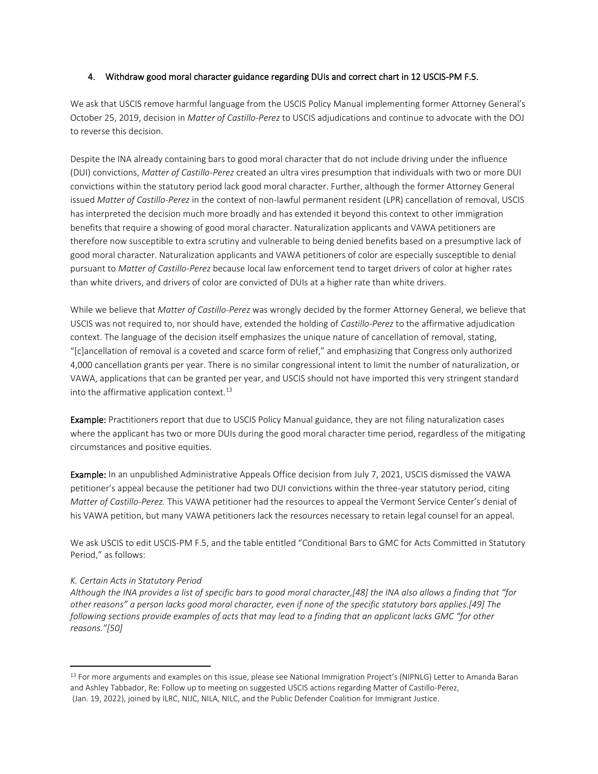## <span id="page-12-0"></span>4. Withdraw good moral character guidance regarding DUIs and correct chart in 12 USCIS-PM F.5.

We ask that USCIS remove harmful language from the USCIS Policy Manual implementing former Attorney General's October 25, 2019, decision in *Matter of Castillo-Perez* to USCIS adjudications and continue to advocate with the DOJ to reverse this decision.

Despite the INA already containing bars to good moral character that do not include driving under the influence (DUI) convictions, *Matter of Castillo-Perez* created an ultra vires presumption that individuals with two or more DUI convictions within the statutory period lack good moral character. Further, although the former Attorney General issued *Matter of Castillo-Perez* in the context of non-lawful permanent resident (LPR) cancellation of removal, USCIS has interpreted the decision much more broadly and has extended it beyond this context to other immigration benefits that require a showing of good moral character. Naturalization applicants and VAWA petitioners are therefore now susceptible to extra scrutiny and vulnerable to being denied benefits based on a presumptive lack of good moral character. Naturalization applicants and VAWA petitioners of color are especially susceptible to denial pursuant to *Matter of Castillo-Perez* because local law enforcement tend to target drivers of color at higher rates than white drivers, and drivers of color are convicted of DUIs at a higher rate than white drivers.

While we believe that *Matter of Castillo-Perez* was wrongly decided by the former Attorney General, we believe that USCIS was not required to, nor should have, extended the holding of *Castillo-Perez* to the affirmative adjudication context. The language of the decision itself emphasizes the unique nature of cancellation of removal, stating, "[c]ancellation of removal is a coveted and scarce form of relief," and emphasizing that Congress only authorized 4,000 cancellation grants per year. There is no similar congressional intent to limit the number of naturalization, or VAWA, applications that can be granted per year, and USCIS should not have imported this very stringent standard into the affirmative application context. $^{13}$ 

Example: Practitioners report that due to USCIS Policy Manual guidance, they are not filing naturalization cases where the applicant has two or more DUIs during the good moral character time period, regardless of the mitigating circumstances and positive equities.

Example: In an unpublished Administrative Appeals Office decision from July 7, 2021, USCIS dismissed the VAWA petitioner's appeal because the petitioner had two DUI convictions within the three-year statutory period, citing *Matter of Castillo-Perez.* This VAWA petitioner had the resources to appeal the Vermont Service Center's denial of his VAWA petition, but many VAWA petitioners lack the resources necessary to retain legal counsel for an appeal.

We ask USCIS to edit USCIS-PM F.5, and the table entitled "Conditional Bars to GMC for Acts Committed in Statutory Period," as follows:

#### *K. Certain Acts in Statutory Period*

*Although the INA provides a list of specific bars to good moral character,[48] the INA also allows a finding that "for other reasons" a person lacks good moral character, even if none of the specific statutory bars applies.[49] The following sections provide examples of acts that may lead to a finding that an applicant lacks GMC "for other reasons."[50]*

<sup>13</sup> For more arguments and examples on this issue, please see National Immigration Project's (NIPNLG) Letter to Amanda Baran and Ashley Tabbador, Re: Follow up to meeting on suggested USCIS actions regarding Matter of Castillo-Perez, (Jan. 19, 2022), joined by ILRC, NIJC, NILA, NILC, and the Public Defender Coalition for Immigrant Justice.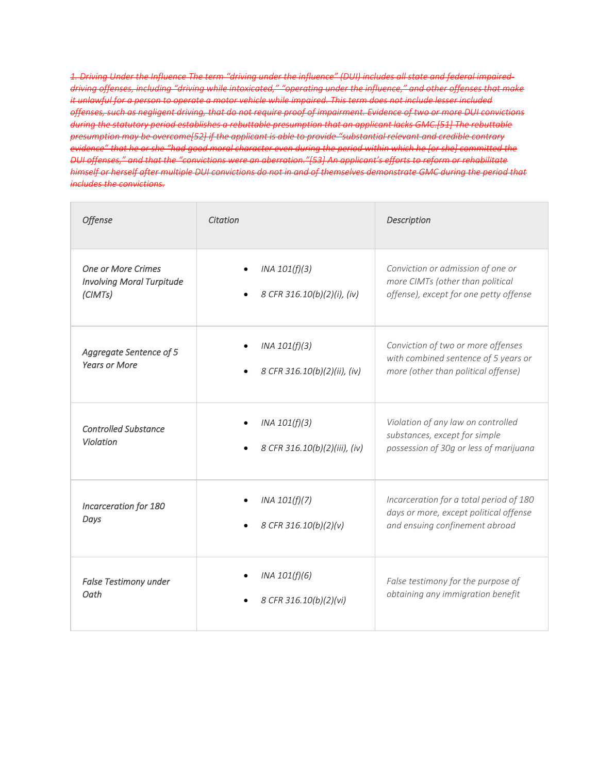1. Driving Under the Influence The term "driving under the influence" (DUI) includes all state and federal impaired*driving offenses, including "driving while intoxicated," "operating under the influence," and other offenses that make it unlawful for a person to operate a motor vehicle while impaired. This term does not include lesser included offenses, such as negligent driving, that do not require proof of impairment. Evidence of two or more DUI convictions during the statutory period establishes a rebuttable presumption that an applicant lacks GMC.[51] The rebuttable presumption may be overcome[52] if the applicant is able to provide "substantial relevant and credible contrary evidence" that he or she "had good moral character even during the period within which he [or she] committed the DUI offenses," and that the "convictions were an aberration."[53] An applicant's efforts to reform or rehabilitate himself or herself after multiple DUI convictions do not in and of themselves demonstrate GMC during the period that includes the convictions.*

| <b>Offense</b>                                                           | Citation                                       | Description                                                                                                         |
|--------------------------------------------------------------------------|------------------------------------------------|---------------------------------------------------------------------------------------------------------------------|
| <b>One or More Crimes</b><br><b>Involving Moral Turpitude</b><br>(CIMTs) | INA 101(f)(3)<br>8 CFR 316.10(b)(2)(i), (iv)   | Conviction or admission of one or<br>more CIMTs (other than political<br>offense), except for one petty offense     |
| Aggregate Sentence of 5<br><b>Years or More</b>                          | INA 101(f)(3)<br>8 CFR 316.10(b)(2)(ii), (iv)  | Conviction of two or more offenses<br>with combined sentence of 5 years or<br>more (other than political offense)   |
| <b>Controlled Substance</b><br>Violation                                 | INA 101(f)(3)<br>8 CFR 316.10(b)(2)(iii), (iv) | Violation of any law on controlled<br>substances, except for simple<br>possession of 30g or less of marijuana       |
| Incarceration for 180<br>Days                                            | INA 101(f)(7)<br>8 CFR 316.10(b)(2)(v)         | Incarceration for a total period of 180<br>days or more, except political offense<br>and ensuing confinement abroad |
| False Testimony under<br>Oath                                            | INA 101(f)(6)<br>8 CFR 316.10(b)(2)(vi)        | False testimony for the purpose of<br>obtaining any immigration benefit                                             |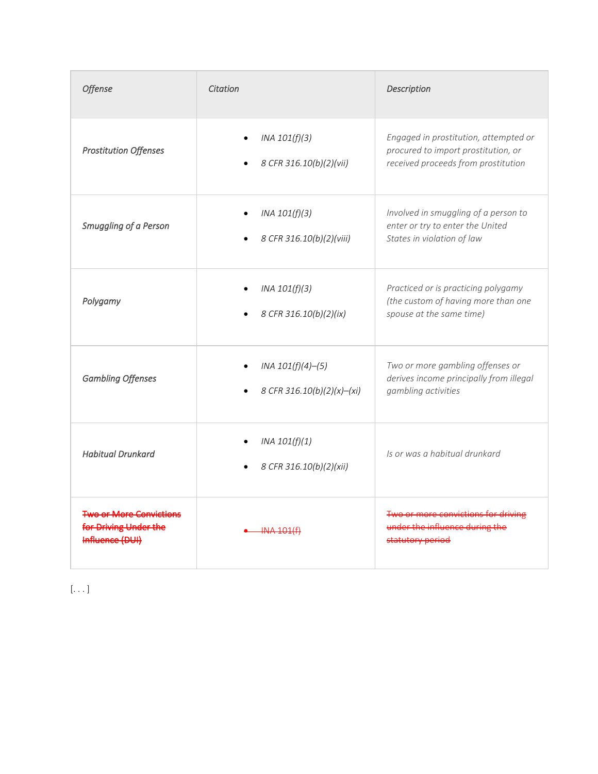| Offense                                                                    | Citation                                               | Description                                                                                                         |
|----------------------------------------------------------------------------|--------------------------------------------------------|---------------------------------------------------------------------------------------------------------------------|
| <b>Prostitution Offenses</b>                                               | INA 101(f)(3)<br>8 CFR 316.10(b)(2)(vii)               | Engaged in prostitution, attempted or<br>procured to import prostitution, or<br>received proceeds from prostitution |
| Smuggling of a Person                                                      | INA 101(f)(3)<br>$\bullet$<br>8 CFR 316.10(b)(2)(viii) | Involved in smuggling of a person to<br>enter or try to enter the United<br>States in violation of law              |
| Polygamy                                                                   | INA 101(f)(3)<br>8 CFR 316.10(b)(2)(ix)                | Practiced or is practicing polygamy<br>(the custom of having more than one<br>spouse at the same time)              |
| <b>Gambling Offenses</b>                                                   | INA 101(f)(4)–(5)<br>8 CFR 316.10(b)(2)(x)-(xi)        | Two or more gambling offenses or<br>derives income principally from illegal<br>gambling activities                  |
| <b>Habitual Drunkard</b>                                                   | INA $101(f)(1)$<br>8 CFR 316.10(b)(2)(xii)             | Is or was a habitual drunkard                                                                                       |
| <b>Two or More Convictions</b><br>for Driving Under the<br>Influence (DUI) | <del>INA 101(f)</del>                                  | Two or more convictions for driving<br>under the influence during the<br>statutory period                           |

[. . . ]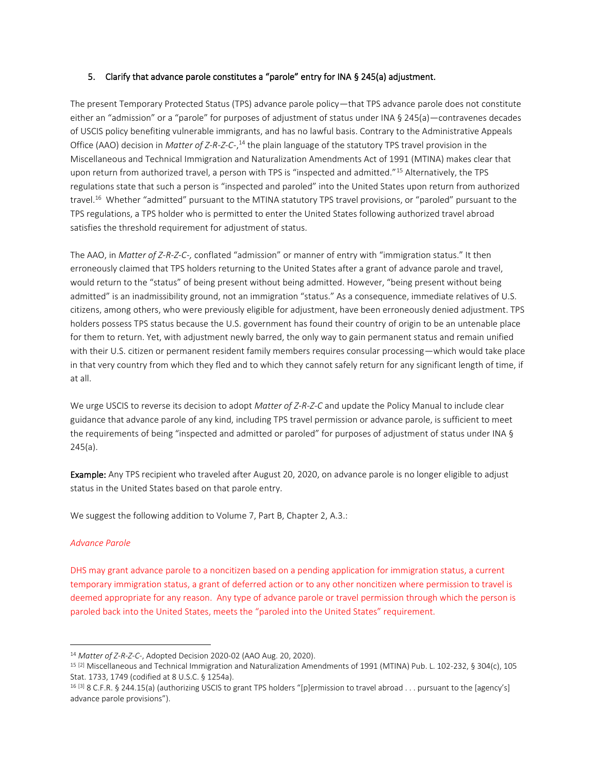## <span id="page-15-0"></span>5. Clarify that advance parole constitutes a "parole" entry for INA § 245(a) adjustment.

The present Temporary Protected Status (TPS) advance parole policy—that TPS advance parole does not constitute either an "admission" or a "parole" for purposes of adjustment of status under INA § 245(a)—contravenes decades of USCIS policy benefiting vulnerable immigrants, and has no lawful basis. Contrary to the Administrative Appeals Office (AAO) decision in *Matter of Z-R-Z-C-*,<sup>14</sup> the plain language of the statutory TPS travel provision in the Miscellaneous and Technical Immigration and Naturalization Amendments Act of 1991 (MTINA) makes clear that upon return from authorized travel, a person with TPS is "inspected and admitted."<sup>15</sup> Alternatively, the TPS regulations state that such a person is "inspected and paroled" into the United States upon return from authorized travel.<sup>16</sup> Whether "admitted" pursuant to the MTINA statutory TPS travel provisions, or "paroled" pursuant to the TPS regulations, a TPS holder who is permitted to enter the United States following authorized travel abroad satisfies the threshold requirement for adjustment of status.

The AAO, in *Matter of Z-R-Z-C-,* conflated "admission" or manner of entry with "immigration status." It then erroneously claimed that TPS holders returning to the United States after a grant of advance parole and travel, would return to the "status" of being present without being admitted. However, "being present without being admitted" is an inadmissibility ground, not an immigration "status." As a consequence, immediate relatives of U.S. citizens, among others, who were previously eligible for adjustment, have been erroneously denied adjustment. TPS holders possess TPS status because the U.S. government has found their country of origin to be an untenable place for them to return. Yet, with adjustment newly barred, the only way to gain permanent status and remain unified with their U.S. citizen or permanent resident family members requires consular processing—which would take place in that very country from which they fled and to which they cannot safely return for any significant length of time, if at all.

We urge USCIS to reverse its decision to adopt *Matter of Z-R-Z-C* and update the Policy Manual to include clear guidance that advance parole of any kind, including TPS travel permission or advance parole, is sufficient to meet the requirements of being "inspected and admitted or paroled" for purposes of adjustment of status under INA § 245(a).

Example: Any TPS recipient who traveled after August 20, 2020, on advance parole is no longer eligible to adjust status in the United States based on that parole entry.

We suggest the following addition to Volume 7, Part B, Chapter 2, A.3.:

## *Advance Parole*

DHS may grant advance parole to a noncitizen based on a pending application for immigration status, a current temporary immigration status, a grant of deferred action or to any other noncitizen where permission to travel is deemed appropriate for any reason. Any type of advance parole or travel permission through which the person is paroled back into the United States, meets the "paroled into the United States" requirement.

<sup>14</sup> *Matter of Z-R-Z-C-*, Adopted Decision 2020-02 (AAO Aug. 20, 2020).

<sup>15</sup> [2] Miscellaneous and Technical Immigration and Naturalization Amendments of 1991 (MTINA) Pub. L. 102-232, § 304(c), 105 Stat. 1733, 1749 (codified at 8 U.S.C. § 1254a).

<sup>16</sup> [3] 8 C.F.R. § 244.15(a) (authorizing USCIS to grant TPS holders "[p]ermission to travel abroad . . . pursuant to the [agency's] advance parole provisions").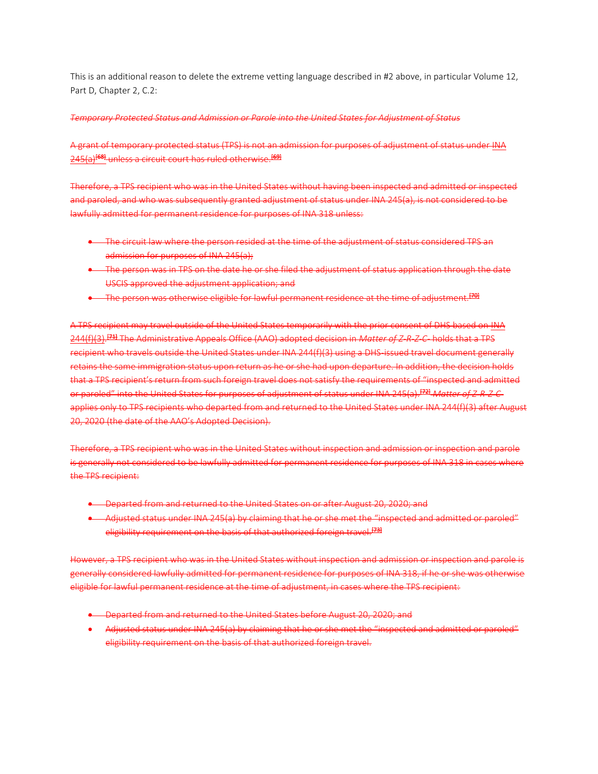This is an additional reason to delete the extreme vetting language described in #2 above, in particular Volume 12, Part D, Chapter 2, C.2:

## *Temporary Protected Status and Admission or Parole into the United States for Adjustment of Status*

A grant of temporary protected status (TPS) is not an admission for purposes of adjustment of status under INA 245(a)<sup>[68]</sup> unless a circuit court has ruled otherwise.<sup>[69]</sup>

Therefore, a TPS recipient who was in the United States without having been inspected and admitted or inspected and paroled, and who was subsequently granted adjustment of status under INA 245(a), is not considered to be lawfully admitted for permanent residence for purposes of INA 318 unless:

- The circuit law where the person resided at the time of the adjustment of status considered TPS and admission for purposes of INA 245(a);
- The person was in TPS on the date he or she filed the adjustment of status application through the date USCIS approved the adjustment application; and
- The person was otherwise eligible for lawful permanent residence at the time of adjustment.<sup>[79]</sup>

A TPS recipient may travel outside of the United States temporarily with the prior consent of DHS based on INA 244(f)(3). [71] The Administrative Appeals Office (AAO) adopted decision in *Matter of Z-R-Z-C-* holds that a TPS recipient who travels outside the United States under INA 244(f)(3) using a DHS-issued travel document generally retains the same immigration status upon return as he or she had upon departure. In addition, the decision holds that a TPS recipient's return from such foreign travel does not satisfy the requirements of "inspected and admitted or paroled" into the United States for purposes of adjustment of status under INA 245(a).[72] *Matter of Z-R-Z-C*applies only to TPS recipients who departed from and returned to the United States under INA 244(f)(3) after August 20, 2020 (the date of the AAO's Adopted Decision).

Therefore, a TPS recipient who was in the United States without inspection and admission or inspection and parole is generally not considered to be lawfully admitted for permanent residence for purposes of INA 318 in cases where the TPS recipient:

- Departed from and returned to the United States on or after August 20, 2020; and
- Adjusted status under INA 245(a) by claiming that he or she met the "inspected and admitted or paroled" eligibility requirement on the basis of that authorized foreign travel.<sup>[73]</sup>

However, a TPS recipient who was in the United States without inspection and admission or inspection and parole is generally considered lawfully admitted for permanent residence for purposes of INA 318, if he or she was otherwise eligible for lawful permanent residence at the time of adjustment, in cases where the TPS recipient:

- Departed from and returned to the United States before August 20, 2020; and
- Adjusted status under INA 245(a) by claiming that he or she met the "inspected and admitted or paroled" eligibility requirement on the basis of that authorized foreign travel.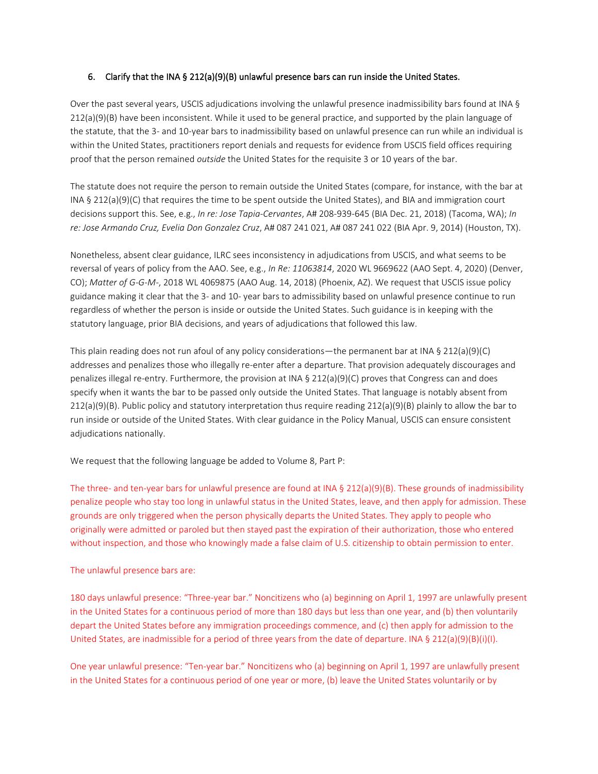### <span id="page-17-0"></span>6. Clarify that the INA § 212(a)(9)(B) unlawful presence bars can run inside the United States.

Over the past several years, USCIS adjudications involving the unlawful presence inadmissibility bars found at INA § 212(a)(9)(B) have been inconsistent. While it used to be general practice, and supported by the plain language of the statute, that the 3- and 10-year bars to inadmissibility based on unlawful presence can run while an individual is within the United States, practitioners report denials and requests for evidence from USCIS field offices requiring proof that the person remained *outside* the United States for the requisite 3 or 10 years of the bar.

The statute does not require the person to remain outside the United States (compare, for instance, with the bar at INA § 212(a)(9)(C) that requires the time to be spent outside the United States), and BIA and immigration court decisions support this. See, e.g., *In re: Jose Tapia-Cervantes*, A# 208-939-645 (BIA Dec. 21, 2018) (Tacoma, WA); *In re: Jose Armando Cruz, Evelia Don Gonzalez Cruz*, A# 087 241 021, A# 087 241 022 (BIA Apr. 9, 2014) (Houston, TX).

Nonetheless, absent clear guidance, ILRC sees inconsistency in adjudications from USCIS, and what seems to be reversal of years of policy from the AAO. See, e.g., *In Re: 11063814*, 2020 WL 9669622 (AAO Sept. 4, 2020) (Denver, CO); *Matter of G-G-M-*, 2018 WL 4069875 (AAO Aug. 14, 2018) (Phoenix, AZ). We request that USCIS issue policy guidance making it clear that the 3- and 10- year bars to admissibility based on unlawful presence continue to run regardless of whether the person is inside or outside the United States. Such guidance is in keeping with the statutory language, prior BIA decisions, and years of adjudications that followed this law.

This plain reading does not run afoul of any policy considerations—the permanent bar at INA § 212(a)(9)(C) addresses and penalizes those who illegally re-enter after a departure. That provision adequately discourages and penalizes illegal re-entry. Furthermore, the provision at INA § 212(a)(9)(C) proves that Congress can and does specify when it wants the bar to be passed only outside the United States. That language is notably absent from 212(a)(9)(B). Public policy and statutory interpretation thus require reading 212(a)(9)(B) plainly to allow the bar to run inside or outside of the United States. With clear guidance in the Policy Manual, USCIS can ensure consistent adjudications nationally.

We request that the following language be added to Volume 8, Part P:

The three- and ten-year bars for unlawful presence are found at INA § 212(a)(9)(B). These grounds of inadmissibility penalize people who stay too long in unlawful status in the United States, leave, and then apply for admission. These grounds are only triggered when the person physically departs the United States. They apply to people who originally were admitted or paroled but then stayed past the expiration of their authorization, those who entered without inspection, and those who knowingly made a false claim of U.S. citizenship to obtain permission to enter.

#### The unlawful presence bars are:

180 days unlawful presence: "Three-year bar." Noncitizens who (a) beginning on April 1, 1997 are unlawfully present in the United States for a continuous period of more than 180 days but less than one year, and (b) then voluntarily depart the United States before any immigration proceedings commence, and (c) then apply for admission to the United States, are inadmissible for a period of three years from the date of departure. INA § 212(a)(9)(B)(i)(I).

One year unlawful presence: "Ten-year bar." Noncitizens who (a) beginning on April 1, 1997 are unlawfully present in the United States for a continuous period of one year or more, (b) leave the United States voluntarily or by